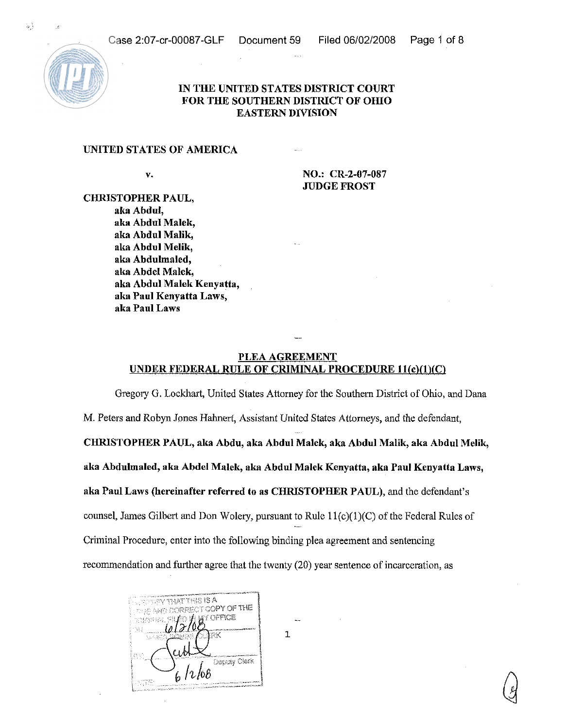

## IN THE UNITED STATES DISTRICT COURT FOR THE SOUTHERN DISTRICT OF OHIO EASTERN DIVISION

## UNITED STATES OF AMERICA

v. NO.: CR-2-07-087 WDGE FROST

CHRISTOPHER PAUL, aka Abdul, aka Abdul Malek, aka Abdul Malik, aka Abdul Melik, aka Abdulmaled, aka Abdel Malek, aka Abdul Malek Kenyatta, aka Paul Kenyatta Laws, aka Paul Laws

## PLEA AGREEMENT UNDER FEDERAL RULE OF CRIMINAL PROCEDURE ll(c)/l)(C)

Gregory G. Lockhart, United States Attorney for the Southern District of Ohio, and Dana M. Peters and Robyn Jones Hahnert, Assistant United States Attorneys, and the defendant, CHRISTOPHER PAUL, alta Abdu, aka Abdul Malek, aka Abdul Malik, aka Abdul Melilr, aka Abdulmaled, aka Abdel Malek, aka Abdul Malek Kenyatta, aka Paul Kenyatta Laws, aka Paul Laws (hereinafter referred to as CHRISTOPHER PAUL), and the defendant's counsel, James Gilbert and Don Wolery, pursuant to Rule  $11(c)(1)(C)$  of the Federal Rules of Criminal Procedure, enter into the following binding plea agreement and sentencing recommendation and further agree that the twenty (20) year sentence of incarceration, as



 $\overline{1}$ 

 $\sigma_{\rm s}$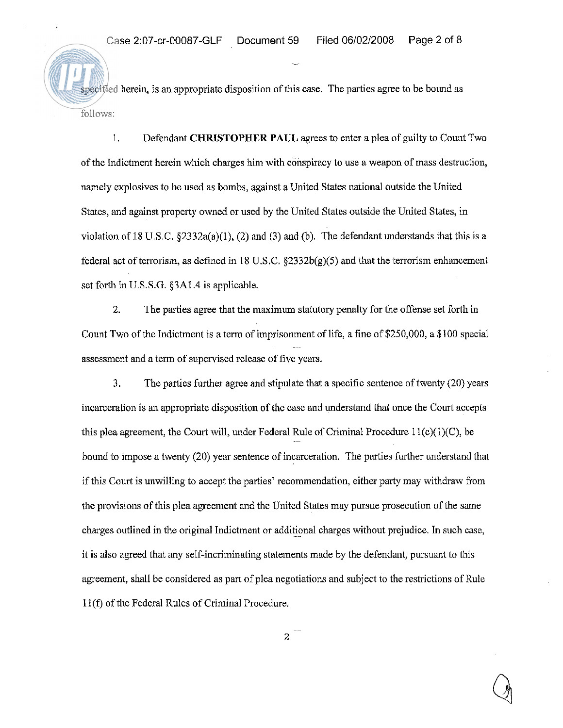specified herein, is an appropriate disposition of this case. The parties agree to be bound as follows:

1. Defendant CHRISTOPHER PAUL agrees to enter a plea of guilty to Count Two of the Indictment herein which charges him with conspiracy to use a weapon of mass destruction, namely explosives to be used as bombs, against a United States national outside the United States, and against property owned or used by the United States outside the United Stales, in violation of 18 U.S.C.  $\S 2332a(a)(1)$ , (2) and (3) and (b). The defendant understands that this is a federal act of terrorism, as defined in 18 U.S.C. §2332b(g)(5) and that the terrorism enhancement set forth in U.S.S.G.  $\S 3A1.4$  is applicable.

2. The parties agree that the maximum statutory penalty for the offense set forth in Count Two of the Indictment is a term of imprisonment of life, a fine of \$250,000, a \$100 special assessment and a term of supervised release of five years.

**3.** The parties further agree and stipulate that a specific sentence of twenty (20) years incarceration is an appropriate disposition of the case and understand that once the Court accepts this plea agreement, the Court will, under Federal Rule of Criminal Procedure  $11(c)(1)(C)$ , be bound to impose a twenty (20) year sentence of incarceration. The parries further understand that if this Court is unwilling to accept the parties' recommendation, either party may withdraw from the provisions of this plea agreement and the United States may pursue prosecution of the same charges outlined in the original Indictment or additional charges without prejudice. In such case, it is also agreed that any self-incriminating statements made by the defendant, pursuant to this agreement, shall be considered as part of plea negotiations and subject to the restrictions of Rule 11(f) of the Federal Rules of Criminal Procedure.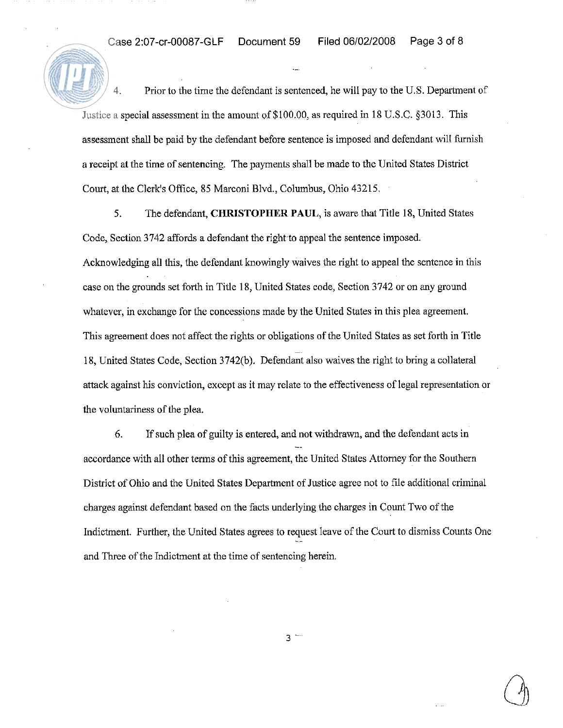**4.** Prior to the time the defendant is sentenced, he will pay to the U.S. Deparhnent of Justice a special assessment in the amount of \$100.00, as required in 18 U.S.C. \$3013. This assessment shall be paid by the defendant before sentence is imposed and defendant will furnish a receipt at the time of sentencing. The payments shall be made to the United States District Court, at the Clerk's Office, 85 Marconi Blvd., Columbus, Ohio 43215.

**5.** The defendant, CHRISTOPHER PAUL, is aware that Title 18, United States Code, Section 3742 affords a defendant the right to appeal the sentence imposed. Acknowledging all this, the defendant knowingly waives the right to appeal the sentence in this case on the grounds set forth in Title 18, United States code, Section 3742 or on any ground whatever, in exchange for the concessions made by the United States in this plea agreement. This agreement does not affect the rights or obligations of the United States as set forth in Title 18, United States Code, Section 3742(b). Defendant also waives the right to bring a collateral attack against his conviction, except as it may relate to the effectiveness of legal representation or the voluntariness of the plea.

*6.* If such plea of guilty is entered, and not withdrawn, and the defendant acts in -. accordance with all other terms of this agreement, the United States Attorney for the Southern District of Ohio and the United States Department of Justice agree not to file additional criminal charges against defendant based on the facts underlying the charges in Count Two of the Indictment. Further, the United States agrees to request leave of the Court to dismiss Counts One and Three of the Indictment at the time of sentencing herein.

 $3 -$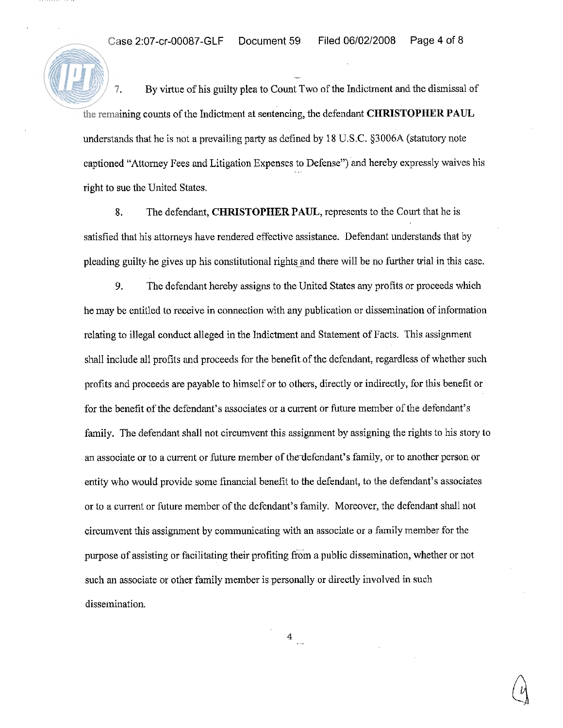-.

**7.** By virtue of his guilty plea to Count Two of the Indictment and the dismissal of the remaining counts of the Indictment at sentencing, the defendant **CHRISTOPHER** PAUL understands that he is not a prevailing party as defined by 18 U.S.C. 53006A (statutory note captioned "Attorney Fees and Litigation Expenses to Defense") and hereby expressly waives his right to sue the United States.

**8.** The defendant, **CHRISTOPHER** PAUL, represents to the Court that he is satisfied that his attorneys have rendered effective assistance. Defendant understands that by pleading guilty he gives up his constitutional rights and there will be no further trial in this case.

**9.** The defendant hereby assigns to the United States any profits or proceeds which he may be entitled to receive in connection with any publication or dissemination of information relating to illegal conduct alleged in the Indictment and Statement of Facts. This assignment shall include all profits and proceeds for the benefit of the defendant, regardless of whether such profits and proceeds are payable to himself or to others, directly or indirectly, for this benefit or for the benefit of the defendant's associates or a current or future member of the defendant's family. The defendant shall not circumvent this assignment by assigning the rights to his story to an associate or to a current or future member of thedefendant's family, or to another person or entity who would provide some financial benefit to the defendant, to the defendant's associates or to a current or future member of the defendant's family. Moreover, the defendant shall not circumvent this assignment by communicating with an associate or a family member for the purpose of assisting or facilitating their profiting from a public dissemination, whether or not such an associate or other family member is personally or directly involved in such dissemination.

 $4$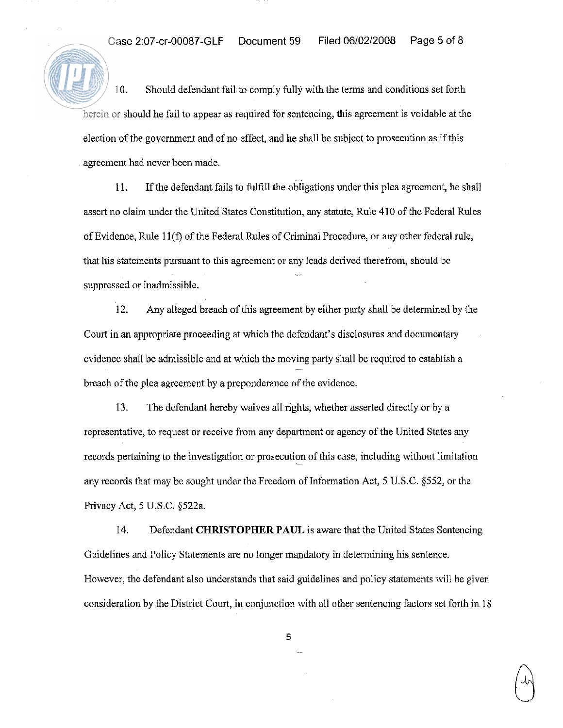10. Should defendant fail to comply fully with the terms and conditions set forth herein or should he fail to appear as required for sentencing, this agreement is voidable at the election of the government and of no effect, and he shall be subject to prosecution as if this agreement had never been made.

11. If the defendant fails to fulfill the obligations under this plea agreement, he shall assert no claim under the United States Constitution, any statute, Rule 410 of the Federal Rules of Evidence, Rule 1 l(f) of the Federal Rules of Criminal Procedure, or any other federal rule, that his statements pursuant to this agreement or any leads derived therefrom, should be  $\frac{1}{2}$ suppressed or inadmissible.

12. Any alleged breach of this agreement by either party shall be determined by the Court in an appropriate proceeding at which the defendant's disclosures and documentary evidence shall be admissible and at which the moving party shall be required to establish a breach of the plea agreement by a preponderance of the evidence.

13. The defendant hereby waives all rights, whether asserted directly or by a representative, to request or receive from any department or agency of the United States any records pertaining to the investigation or prosecution of this case, including without limitation any records that may be sought under the Freedom of Information Act, 5 U.S.C. \$552, or the Privacy Act, 5 U.S.C. §522a.

14. Defendant CHRISTOPHER PAUL is aware that the United States Sentencing Guidelines and Policy Statements are no longer maadatory in determining his sentence. However, the defendant also understands that said guidelines and policy statements will be given consideration by the District Court, in conjunction with all other sentencing factors set forth in 18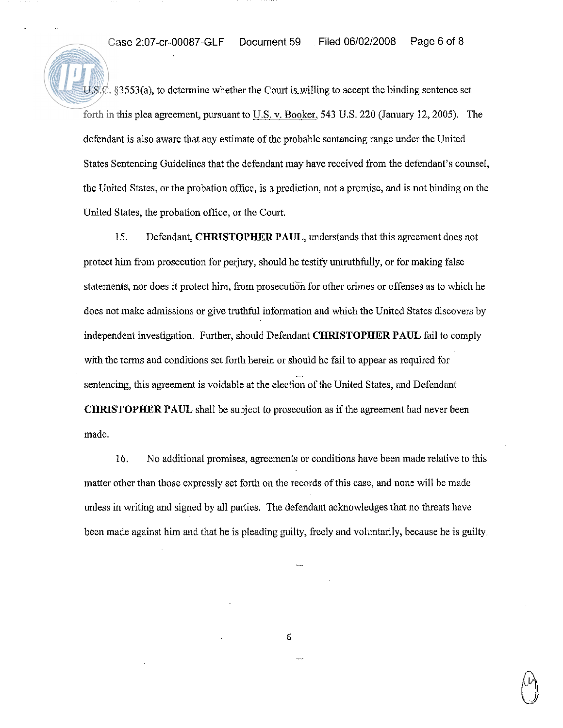$U.S.C.$  §3553(a), to determine whether the Court is willing to accept the binding sentence set forth in this plea agreement, pursuant to U.S. v. Booker, 543 U.S. 220 (January 12, 2005). The defendant is also aware that any estimate of the probable sentencing range under the United States Sentencing Guidelines that the defendant may have received from the defendant's counsel, the United States, or the probation office, is a prediction, not a promise, and is not binding on the United States, the probation office, or the Court.

15. Defendant, **CHRISTOPHER PAUL,** understands that this agreement does not protect him from prosecution for perjury, should he testify untruthfully, or for malting false statements, nor does it protect him, from prosecution for other crimes or offenses as to which he does not make admissions or give truthfill information and which the United States discovers by independent investigation. Further, should Defendant **CHRISTOPHER PAUL** fail to comply with the terms and conditions set forth herein or should he fail to appear as required for sentencing, this agreement is voidable at the election of the United States, and Defendant **CHRISTOPHER PAUL** shall be subject to prosecution as if the agreement had never been made.

16. No additional promises, agreements or conditions have been made relative to this matter other than those expressly set forth on the records of this case, and none will he made unless in writing and signed by all parties. The defendant acknowledges that no threats have been made against him and that he is pleading guilty, freely and voluntarily, because he is guilty,

 $\epsilon$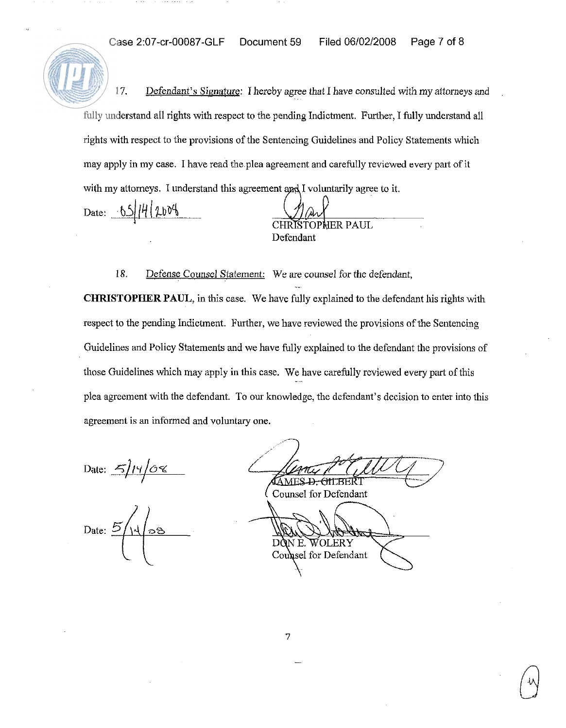Case 2:07-cr-00087-GLF Document 59 Filed 06/02/2008 Page 7 of 8

17. Defendant's Signature: I hereby agree that I have consulted with my attorneys and fully understand all rights with respect to the pending Indictment. Further, I fully understand all rights with respect to the provisions of the Sentencing Guidelines and Policy Statements which may apply in my case. I have read the plea agreement and carefully reviewed every part of it Case 2:07-cr-00087-GLF Document 59 Filed 06/02/2008 Page 7 of 8<br>
17. Defendant's Signature: I hereby agree that I have consulted with my attorneys and<br>
fully understand all rights with respect to the pending Indictment. F

Defendant

18. Defense Counsel Statement: We are counsel for the defendant, CHRISTOPHER PAUL, in this case. We have fully explained to the defendant his rights with respect to the pending Indictment. Further, we have reviewed the provisions of the Sentencing Guidelines and Policy Statements and we have fully explained to the defendant the provisions of those Guidelines which may apply in this case. We have carefully reviewed every part of this plea agreement with the defendant. To our knowledge, the defendant's decision to enter into this agreement is an informed and voluntary one.

Date:  $\frac{5}{14}/\sqrt{68}$ 

Date:  $5/11/08$ 

 $\overline{\smash{\bigcup}}$ **AMES-D. GILBERT** 

( Counsel for Defendant

WOLERY DÒN E. Counsel for Defendant

7